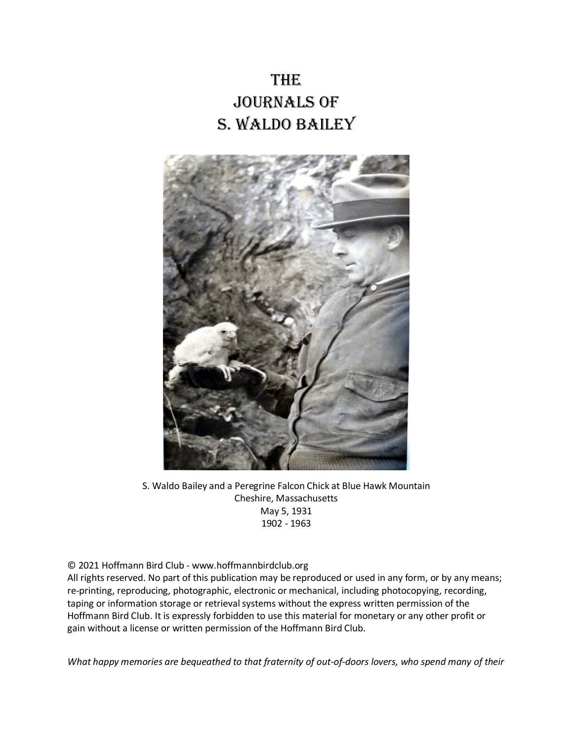# **THE** Journals of S. Waldo Bailey



S. Waldo Bailey and a Peregrine Falcon Chick at Blue Hawk Mountain Cheshire, Massachusetts May 5, 1931 1902 - 1963

#### © 2021 Hoffmann Bird Club - www.hoffmannbirdclub.org

All rights reserved. No part of this publication may be reproduced or used in any form, or by any means; re-printing, reproducing, photographic, electronic or mechanical, including photocopying, recording, taping or information storage or retrieval systems without the express written permission of the Hoffmann Bird Club. It is expressly forbidden to use this material for monetary or any other profit or gain without a license or written permission of the Hoffmann Bird Club.

*What happy memories are bequeathed to that fraternity of out-of-doors lovers, who spend many of their*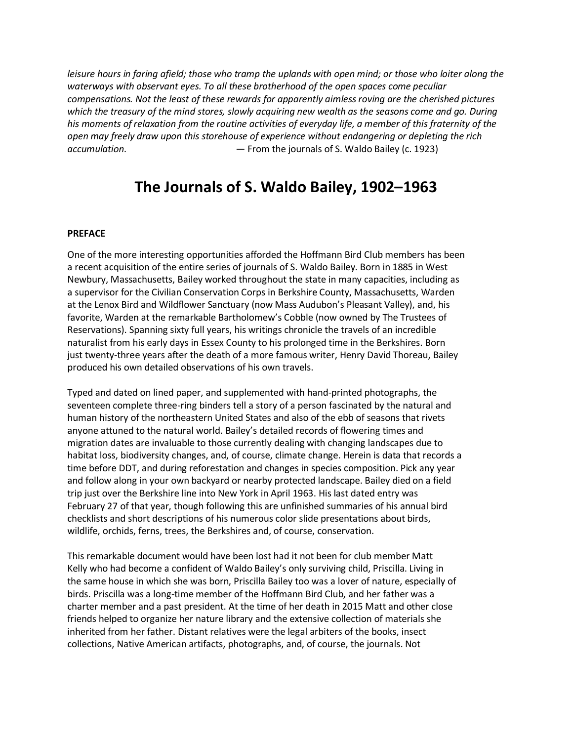*leisure hours in faring afield; those who tramp the uplands with open mind; or those who loiter along the waterways with observant eyes. To all these brotherhood of the open spaces come peculiar compensations. Not the least of these rewards for apparently aimless roving are the cherished pictures which the treasury of the mind stores, slowly acquiring new wealth as the seasons come and go. During his moments of relaxation from the routine activities of everyday life, a member of this fraternity of the open may freely draw upon this storehouse of experience without endangering or depleting the rich accumulation.* — From the journals of S. Waldo Bailey (c. 1923)

## **The Journals of S. Waldo Bailey, 1902–1963**

#### **PREFACE**

One of the more interesting opportunities afforded the Hoffmann Bird Club members has been a recent acquisition of the entire series of journals of S. Waldo Bailey. Born in 1885 in West Newbury, Massachusetts, Bailey worked throughout the state in many capacities, including as a supervisor for the Civilian Conservation Corps in Berkshire County, Massachusetts, Warden at the Lenox Bird and Wildflower Sanctuary (now Mass Audubon's Pleasant Valley), and, his favorite, Warden at the remarkable Bartholomew's Cobble (now owned by The Trustees of Reservations). Spanning sixty full years, his writings chronicle the travels of an incredible naturalist from his early days in Essex County to his prolonged time in the Berkshires. Born just twenty-three years after the death of a more famous writer, Henry David Thoreau, Bailey produced his own detailed observations of his own travels.

Typed and dated on lined paper, and supplemented with hand-printed photographs, the seventeen complete three-ring binders tell a story of a person fascinated by the natural and human history of the northeastern United States and also of the ebb of seasons that rivets anyone attuned to the natural world. Bailey's detailed records of flowering times and migration dates are invaluable to those currently dealing with changing landscapes due to habitat loss, biodiversity changes, and, of course, climate change. Herein is data that records a time before DDT, and during reforestation and changes in species composition. Pick any year and follow along in your own backyard or nearby protected landscape. Bailey died on a field trip just over the Berkshire line into New York in April 1963. His last dated entry was February 27 of that year, though following this are unfinished summaries of his annual bird checklists and short descriptions of his numerous color slide presentations about birds, wildlife, orchids, ferns, trees, the Berkshires and, of course, conservation.

This remarkable document would have been lost had it not been for club member Matt Kelly who had become a confident of Waldo Bailey's only surviving child, Priscilla. Living in the same house in which she was born, Priscilla Bailey too was a lover of nature, especially of birds. Priscilla was a long-time member of the Hoffmann Bird Club, and her father was a charter member and a past president. At the time of her death in 2015 Matt and other close friends helped to organize her nature library and the extensive collection of materials she inherited from her father. Distant relatives were the legal arbiters of the books, insect collections, Native American artifacts, photographs, and, of course, the journals. Not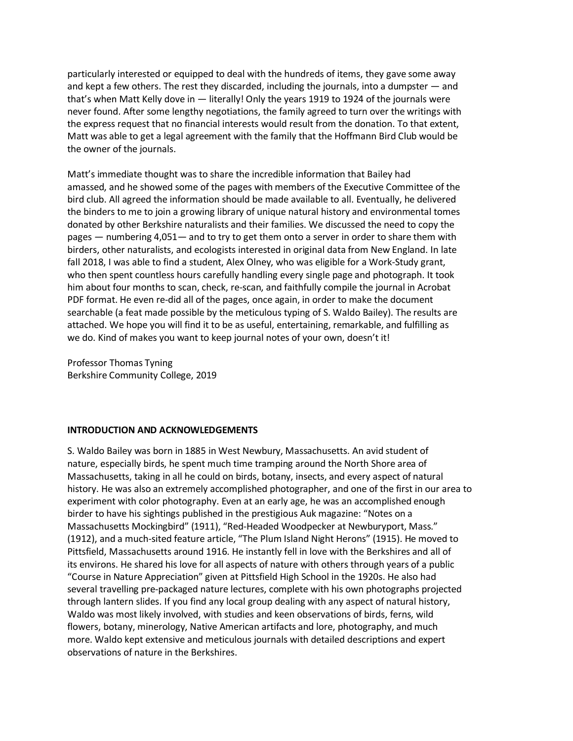particularly interested or equipped to deal with the hundreds of items, they gave some away and kept a few others. The rest they discarded, including the journals, into a dumpster — and that's when Matt Kelly dove in — literally! Only the years 1919 to 1924 of the journals were never found. After some lengthy negotiations, the family agreed to turn over the writings with the express request that no financial interests would result from the donation. To that extent, Matt was able to get a legal agreement with the family that the Hoffmann Bird Club would be the owner of the journals.

Matt's immediate thought was to share the incredible information that Bailey had amassed, and he showed some of the pages with members of the Executive Committee of the bird club. All agreed the information should be made available to all. Eventually, he delivered the binders to me to join a growing library of unique natural history and environmental tomes donated by other Berkshire naturalists and their families. We discussed the need to copy the pages — numbering 4,051— and to try to get them onto a server in order to share them with birders, other naturalists, and ecologists interested in original data from New England. In late fall 2018, I was able to find a student, Alex Olney, who was eligible for a Work-Study grant, who then spent countless hours carefully handling every single page and photograph. It took him about four months to scan, check, re-scan, and faithfully compile the journal in Acrobat PDF format. He even re-did all of the pages, once again, in order to make the document searchable (a feat made possible by the meticulous typing of S. Waldo Bailey). The results are attached. We hope you will find it to be as useful, entertaining, remarkable, and fulfilling as we do. Kind of makes you want to keep journal notes of your own, doesn't it!

Professor Thomas Tyning Berkshire Community College, 2019

#### **INTRODUCTION AND ACKNOWLEDGEMENTS**

S. Waldo Bailey was born in 1885 in West Newbury, Massachusetts. An avid student of nature, especially birds, he spent much time tramping around the North Shore area of Massachusetts, taking in all he could on birds, botany, insects, and every aspect of natural history. He was also an extremely accomplished photographer, and one of the first in our area to experiment with color photography. Even at an early age, he was an accomplished enough birder to have his sightings published in the prestigious Auk magazine: "Notes on a Massachusetts Mockingbird" (1911), "Red-Headed Woodpecker at Newburyport, Mass." (1912), and a much-sited feature article, "The Plum Island Night Herons" (1915). He moved to Pittsfield, Massachusetts around 1916. He instantly fell in love with the Berkshires and all of its environs. He shared his love for all aspects of nature with others through years of a public "Course in Nature Appreciation" given at Pittsfield High School in the 1920s. He also had several travelling pre-packaged nature lectures, complete with his own photographs projected through lantern slides. If you find any local group dealing with any aspect of natural history, Waldo was most likely involved, with studies and keen observations of birds, ferns, wild flowers, botany, minerology, Native American artifacts and lore, photography, and much more. Waldo kept extensive and meticulous journals with detailed descriptions and expert observations of nature in the Berkshires.